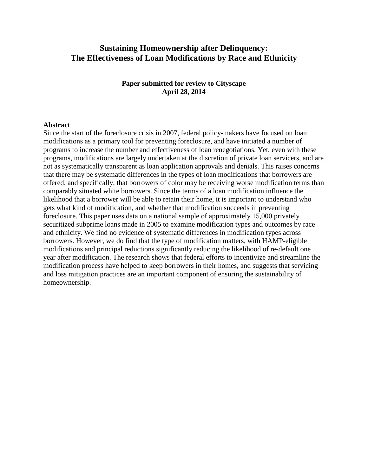# **Sustaining Homeownership after Delinquency: The Effectiveness of Loan Modifications by Race and Ethnicity**

**Paper submitted for review to Cityscape April 28, 2014**

# **Abstract**

Since the start of the foreclosure crisis in 2007, federal policy-makers have focused on loan modifications as a primary tool for preventing foreclosure, and have initiated a number of programs to increase the number and effectiveness of loan renegotiations. Yet, even with these programs, modifications are largely undertaken at the discretion of private loan servicers, and are not as systematically transparent as loan application approvals and denials. This raises concerns that there may be systematic differences in the types of loan modifications that borrowers are offered, and specifically, that borrowers of color may be receiving worse modification terms than comparably situated white borrowers. Since the terms of a loan modification influence the likelihood that a borrower will be able to retain their home, it is important to understand who gets what kind of modification, and whether that modification succeeds in preventing foreclosure. This paper uses data on a national sample of approximately 15,000 privately securitized subprime loans made in 2005 to examine modification types and outcomes by race and ethnicity. We find no evidence of systematic differences in modification types across borrowers. However, we do find that the type of modification matters, with HAMP-eligible modifications and principal reductions significantly reducing the likelihood of re-default one year after modification. The research shows that federal efforts to incentivize and streamline the modification process have helped to keep borrowers in their homes, and suggests that servicing and loss mitigation practices are an important component of ensuring the sustainability of homeownership.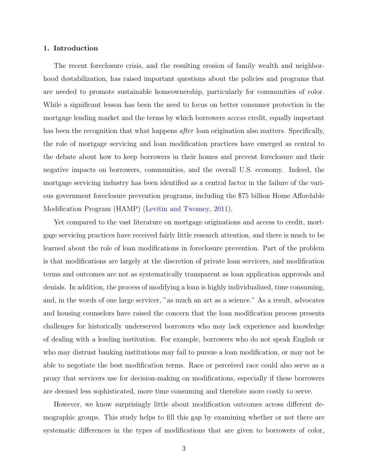# 1. Introduction

The recent foreclosure crisis, and the resulting erosion of family wealth and neighborhood destabilization, has raised important questions about the policies and programs that are needed to promote sustainable homeownership, particularly for communities of color. While a significant lesson has been the need to focus on better consumer protection in the mortgage lending market and the terms by which borrowers *access* credit, equally important has been the recognition that what happens *after* loan origination also matters. Specifically, the role of mortgage servicing and loan modification practices have emerged as central to the debate about how to keep borrowers in their homes and prevent foreclosure and their negative impacts on borrowers, communities, and the overall U.S. economy. Indeed, the mortgage servicing industry has been identified as a central factor in the failure of the various government foreclosure prevention programs, including the \$75 billion Home Affordable Modification Program (HAMP) [\(Levitin and Twomey,](#page-19-0) [2011\)](#page-19-0).

Yet compared to the vast literature on mortgage originations and access to credit, mortgage servicing practices have received fairly little research attention, and there is much to be learned about the role of loan modifications in foreclosure prevention. Part of the problem is that modifications are largely at the discretion of private loan servicers, and modification terms and outcomes are not as systematically transparent as loan application approvals and denials. In addition, the process of modifying a loan is highly individualized, time consuming, and, in the words of one large servicer, "as much an art as a science." As a result, advocates and housing counselors have raised the concern that the loan modification process presents challenges for historically underserved borrowers who may lack experience and knowledge of dealing with a lending institution. For example, borrowers who do not speak English or who may distrust banking institutions may fail to pursue a loan modification, or may not be able to negotiate the best modification terms. Race or perceived race could also serve as a proxy that servicers use for decision-making on modifications, especially if these borrowers are deemed less sophisticated, more time consuming and therefore more costly to serve.

However, we know surprisingly little about modification outcomes across different demographic groups. This study helps to fill this gap by examining whether or not there are systematic differences in the types of modifications that are given to borrowers of color,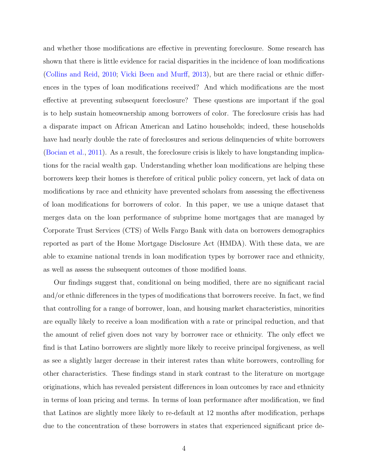and whether those modifications are effective in preventing foreclosure. Some research has shown that there is little evidence for racial disparities in the incidence of loan modifications [\(Collins and Reid,](#page-18-0) [2010;](#page-18-0) [Vicki Been and Murff,](#page-20-0) [2013\)](#page-20-0), but are there racial or ethnic differences in the types of loan modifications received? And which modifications are the most effective at preventing subsequent foreclosure? These questions are important if the goal is to help sustain homeownership among borrowers of color. The foreclosure crisis has had a disparate impact on African American and Latino households; indeed, these households have had nearly double the rate of foreclosures and serious delinquencies of white borrowers [\(Bocian et al.,](#page-18-1) [2011\)](#page-18-1). As a result, the foreclosure crisis is likely to have longstanding implications for the racial wealth gap. Understanding whether loan modifications are helping these borrowers keep their homes is therefore of critical public policy concern, yet lack of data on modifications by race and ethnicity have prevented scholars from assessing the effectiveness of loan modifications for borrowers of color. In this paper, we use a unique dataset that merges data on the loan performance of subprime home mortgages that are managed by Corporate Trust Services (CTS) of Wells Fargo Bank with data on borrowers demographics reported as part of the Home Mortgage Disclosure Act (HMDA). With these data, we are able to examine national trends in loan modification types by borrower race and ethnicity, as well as assess the subsequent outcomes of those modified loans.

Our findings suggest that, conditional on being modified, there are no significant racial and/or ethnic differences in the types of modifications that borrowers receive. In fact, we find that controlling for a range of borrower, loan, and housing market characteristics, minorities are equally likely to receive a loan modification with a rate or principal reduction, and that the amount of relief given does not vary by borrower race or ethnicity. The only effect we find is that Latino borrowers are slightly more likely to receive principal forgiveness, as well as see a slightly larger decrease in their interest rates than white borrowers, controlling for other characteristics. These findings stand in stark contrast to the literature on mortgage originations, which has revealed persistent differences in loan outcomes by race and ethnicity in terms of loan pricing and terms. In terms of loan performance after modification, we find that Latinos are slightly more likely to re-default at 12 months after modification, perhaps due to the concentration of these borrowers in states that experienced significant price de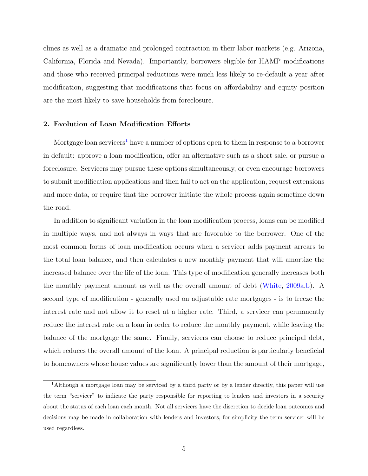clines as well as a dramatic and prolonged contraction in their labor markets (e.g. Arizona, California, Florida and Nevada). Importantly, borrowers eligible for HAMP modifications and those who received principal reductions were much less likely to re-default a year after modification, suggesting that modifications that focus on affordability and equity position are the most likely to save households from foreclosure.

# 2. Evolution of Loan Modification Efforts

Mortgage loan servicers<sup>[1](#page-3-0)</sup> have a number of options open to them in response to a borrower in default: approve a loan modification, offer an alternative such as a short sale, or pursue a foreclosure. Servicers may pursue these options simultaneously, or even encourage borrowers to submit modification applications and then fail to act on the application, request extensions and more data, or require that the borrower initiate the whole process again sometime down the road.

In addition to significant variation in the loan modification process, loans can be modified in multiple ways, and not always in ways that are favorable to the borrower. One of the most common forms of loan modification occurs when a servicer adds payment arrears to the total loan balance, and then calculates a new monthly payment that will amortize the increased balance over the life of the loan. This type of modification generally increases both the monthly payment amount as well as the overall amount of debt [\(White,](#page-21-0) [2009a,](#page-21-0)[b\)](#page-21-1). A second type of modification - generally used on adjustable rate mortgages - is to freeze the interest rate and not allow it to reset at a higher rate. Third, a servicer can permanently reduce the interest rate on a loan in order to reduce the monthly payment, while leaving the balance of the mortgage the same. Finally, servicers can choose to reduce principal debt, which reduces the overall amount of the loan. A principal reduction is particularly beneficial to homeowners whose house values are significantly lower than the amount of their mortgage,

<span id="page-3-0"></span><sup>1</sup>Although a mortgage loan may be serviced by a third party or by a lender directly, this paper will use the term "servicer" to indicate the party responsible for reporting to lenders and investors in a security about the status of each loan each month. Not all servicers have the discretion to decide loan outcomes and decisions may be made in collaboration with lenders and investors; for simplicity the term servicer will be used regardless.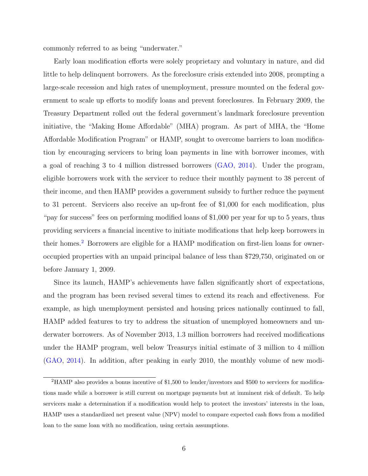commonly referred to as being "underwater."

Early loan modification efforts were solely proprietary and voluntary in nature, and did little to help delinquent borrowers. As the foreclosure crisis extended into 2008, prompting a large-scale recession and high rates of unemployment, pressure mounted on the federal government to scale up efforts to modify loans and prevent foreclosures. In February 2009, the Treasury Department rolled out the federal government's landmark foreclosure prevention initiative, the "Making Home Affordable" (MHA) program. As part of MHA, the "Home Affordable Modification Program" or HAMP, sought to overcome barriers to loan modification by encouraging servicers to bring loan payments in line with borrower incomes, with a goal of reaching 3 to 4 million distressed borrowers [\(GAO,](#page-19-1) [2014\)](#page-19-1). Under the program, eligible borrowers work with the servicer to reduce their monthly payment to 38 percent of their income, and then HAMP provides a government subsidy to further reduce the payment to 31 percent. Servicers also receive an up-front fee of \$1,000 for each modification, plus "pay for success" fees on performing modified loans of \$1,000 per year for up to 5 years, thus providing servicers a financial incentive to initiate modifications that help keep borrowers in their homes.[2](#page-4-0) Borrowers are eligible for a HAMP modification on first-lien loans for owneroccupied properties with an unpaid principal balance of less than \$729,750, originated on or before January 1, 2009.

Since its launch, HAMP's achievements have fallen significantly short of expectations, and the program has been revised several times to extend its reach and effectiveness. For example, as high unemployment persisted and housing prices nationally continued to fall, HAMP added features to try to address the situation of unemployed homeowners and underwater borrowers. As of November 2013, 1.3 million borrowers had received modifications under the HAMP program, well below Treasurys initial estimate of 3 million to 4 million [\(GAO,](#page-19-1) [2014\)](#page-19-1). In addition, after peaking in early 2010, the monthly volume of new modi-

<span id="page-4-0"></span><sup>2</sup>HAMP also provides a bonus incentive of \$1,500 to lender/investors and \$500 to servicers for modifications made while a borrower is still current on mortgage payments but at imminent risk of default. To help servicers make a determination if a modification would help to protect the investors' interests in the loan, HAMP uses a standardized net present value (NPV) model to compare expected cash flows from a modified loan to the same loan with no modification, using certain assumptions.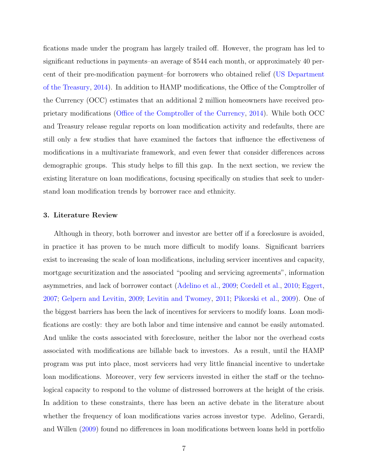fications made under the program has largely trailed off. However, the program has led to significant reductions in payments–an average of \$544 each month, or approximately 40 percent of their pre-modification payment–for borrowers who obtained relief [\(US Department](#page-20-1) [of the Treasury,](#page-20-1) [2014\)](#page-20-1). In addition to HAMP modifications, the Office of the Comptroller of the Currency (OCC) estimates that an additional 2 million homeowners have received proprietary modifications [\(Office of the Comptroller of the Currency,](#page-20-2) [2014\)](#page-20-2). While both OCC and Treasury release regular reports on loan modification activity and redefaults, there are still only a few studies that have examined the factors that influence the effectiveness of modifications in a multivariate framework, and even fewer that consider differences across demographic groups. This study helps to fill this gap. In the next section, we review the existing literature on loan modifications, focusing specifically on studies that seek to understand loan modification trends by borrower race and ethnicity.

## 3. Literature Review

Although in theory, both borrower and investor are better off if a foreclosure is avoided, in practice it has proven to be much more difficult to modify loans. Significant barriers exist to increasing the scale of loan modifications, including servicer incentives and capacity, mortgage securitization and the associated "pooling and servicing agreements", information asymmetries, and lack of borrower contact [\(Adelino et al.,](#page-18-2) [2009;](#page-18-2) [Cordell et al.,](#page-19-2) [2010;](#page-19-2) [Eggert,](#page-19-3) [2007;](#page-19-3) [Gelpern and Levitin,](#page-19-4) [2009;](#page-19-4) [Levitin and Twomey,](#page-19-0) [2011;](#page-19-0) [Pikorski et al.,](#page-20-3) [2009\)](#page-20-3). One of the biggest barriers has been the lack of incentives for servicers to modify loans. Loan modifications are costly: they are both labor and time intensive and cannot be easily automated. And unlike the costs associated with foreclosure, neither the labor nor the overhead costs associated with modifications are billable back to investors. As a result, until the HAMP program was put into place, most servicers had very little financial incentive to undertake loan modifications. Moreover, very few servicers invested in either the staff or the technological capacity to respond to the volume of distressed borrowers at the height of the crisis. In addition to these constraints, there has been an active debate in the literature about whether the frequency of loan modifications varies across investor type. Adelino, Gerardi, and Willen [\(2009\)](#page-18-2) found no differences in loan modifications between loans held in portfolio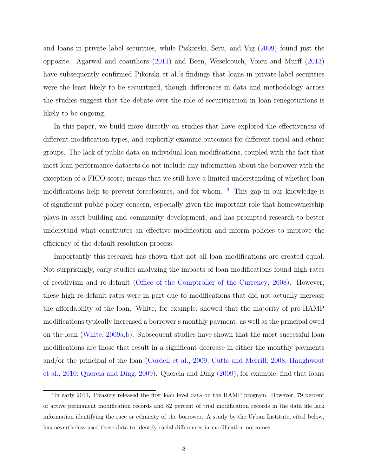and loans in private label securities, while Piskorski, Seru, and Vig [\(2009\)](#page-20-3) found just the opposite. Agarwal and coauthors [\(2011\)](#page-18-3) and Been, Weselcouch, Voicu and Murff [\(2013\)](#page-20-0) have subsequently confirmed Pikorski et al.'s findings that loans in private-label securities were the least likely to be securitized, though differences in data and methodology across the studies suggest that the debate over the role of securitization in loan renegotiations is likely to be ongoing.

In this paper, we build more directly on studies that have explored the effectiveness of different modification types, and explicitly examine outcomes for different racial and ethnic groups. The lack of public data on individual loan modifications, coupled with the fact that most loan performance datasets do not include any information about the borrower with the exception of a FICO score, means that we still have a limited understanding of whether loan modifications help to prevent foreclosures, and for whom.  $3$  This gap in our knowledge is of significant public policy concern, especially given the important role that homeownership plays in asset building and community development, and has prompted research to better understand what constitutes an effective modification and inform policies to improve the efficiency of the default resolution process.

Importantly this research has shown that not all loan modifications are created equal. Not surprisingly, early studies analyzing the impacts of loan modifications found high rates of recidivism and re-default [\(Office of the Comptroller of the Currency,](#page-20-4) [2008\)](#page-20-4). However, these high re-default rates were in part due to modifications that did not actually increase the affordability of the loan. White, for example, showed that the majority of pre-HAMP modifications typically increased a borrower's monthly payment, as well as the principal owed on the loan [\(White,](#page-21-0) [2009a,](#page-21-0)[b\)](#page-21-1). Subsequent studies have shown that the most successful loan modifications are those that result in a significant decrease in either the monthly payments and/or the principal of the loan [\(Cordell et al.,](#page-18-4) [2009;](#page-18-4) [Cutts and Merrill,](#page-19-5) [2008;](#page-19-5) [Haughwout](#page-19-6) [et al.,](#page-19-6) [2010;](#page-19-6) [Quercia and Ding,](#page-20-5) [2009\)](#page-20-5). Quercia and Ding [\(2009\)](#page-20-5), for example, find that loans

<span id="page-6-0"></span><sup>&</sup>lt;sup>3</sup>In early 2011, Treasury released the first loan level data on the HAMP program. However, 79 percent of active permanent modification records and 82 percent of trial modification records in the data file lack information identifying the race or ethnicity of the borrower. A study by the Urban Institute, cited below, has nevertheless used these data to identify racial differences in modification outcomes.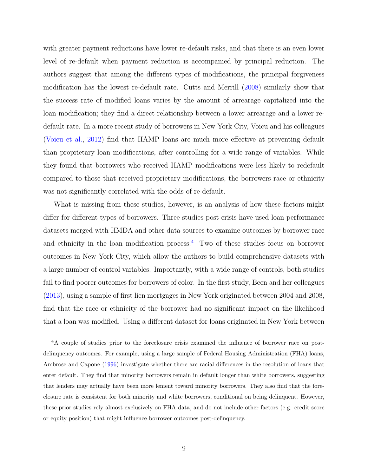with greater payment reductions have lower re-default risks, and that there is an even lower level of re-default when payment reduction is accompanied by principal reduction. The authors suggest that among the different types of modifications, the principal forgiveness modification has the lowest re-default rate. Cutts and Merrill [\(2008\)](#page-19-5) similarly show that the success rate of modified loans varies by the amount of arrearage capitalized into the loan modification; they find a direct relationship between a lower arrearage and a lower redefault rate. In a more recent study of borrowers in New York City, Voicu and his colleagues [\(Voicu et al.,](#page-20-6) [2012\)](#page-20-6) find that HAMP loans are much more effective at preventing default than proprietary loan modifications, after controlling for a wide range of variables. While they found that borrowers who received HAMP modifications were less likely to redefault compared to those that received proprietary modifications, the borrowers race or ethnicity was not significantly correlated with the odds of re-default.

What is missing from these studies, however, is an analysis of how these factors might differ for different types of borrowers. Three studies post-crisis have used loan performance datasets merged with HMDA and other data sources to examine outcomes by borrower race and ethnicity in the loan modification process.<sup>[4](#page-7-0)</sup> Two of these studies focus on borrower outcomes in New York City, which allow the authors to build comprehensive datasets with a large number of control variables. Importantly, with a wide range of controls, both studies fail to find poorer outcomes for borrowers of color. In the first study, Been and her colleagues [\(2013\)](#page-20-0), using a sample of first lien mortgages in New York originated between 2004 and 2008, find that the race or ethnicity of the borrower had no significant impact on the likelihood that a loan was modified. Using a different dataset for loans originated in New York between

<span id="page-7-0"></span><sup>&</sup>lt;sup>4</sup>A couple of studies prior to the foreclosure crisis examined the influence of borrower race on postdelinquency outcomes. For example, using a large sample of Federal Housing Administration (FHA) loans, Ambrose and Capone [\(1996\)](#page-18-5) investigate whether there are racial differences in the resolution of loans that enter default. They find that minority borrowers remain in default longer than white borrowers, suggesting that lenders may actually have been more lenient toward minority borrowers. They also find that the foreclosure rate is consistent for both minority and white borrowers, conditional on being delinquent. However, these prior studies rely almost exclusively on FHA data, and do not include other factors (e.g. credit score or equity position) that might influence borrower outcomes post-delinquency.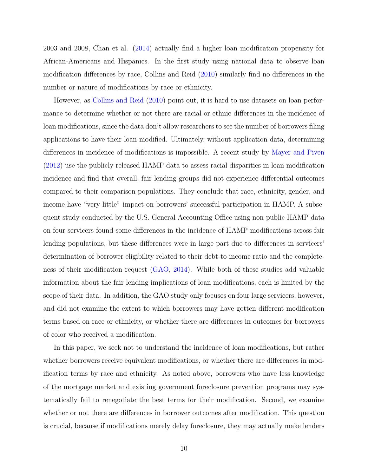2003 and 2008, Chan et al. [\(2014\)](#page-18-6) actually find a higher loan modification propensity for African-Americans and Hispanics. In the first study using national data to observe loan modification differences by race, Collins and Reid [\(2010\)](#page-18-0) similarly find no differences in the number or nature of modifications by race or ethnicity.

However, as [Collins and Reid](#page-18-0) [\(2010\)](#page-18-0) point out, it is hard to use datasets on loan performance to determine whether or not there are racial or ethnic differences in the incidence of loan modifications, since the data don't allow researchers to see the number of borrowers filing applications to have their loan modified. Ultimately, without application data, determining differences in incidence of modifications is impossible. A recent study by [Mayer and Piven](#page-19-7) [\(2012\)](#page-19-7) use the publicly released HAMP data to assess racial disparities in loan modification incidence and find that overall, fair lending groups did not experience differential outcomes compared to their comparison populations. They conclude that race, ethnicity, gender, and income have "very little" impact on borrowers' successful participation in HAMP. A subsequent study conducted by the U.S. General Accounting Office using non-public HAMP data on four servicers found some differences in the incidence of HAMP modifications across fair lending populations, but these differences were in large part due to differences in servicers' determination of borrower eligibility related to their debt-to-income ratio and the completeness of their modification request [\(GAO,](#page-19-1) [2014\)](#page-19-1). While both of these studies add valuable information about the fair lending implications of loan modifications, each is limited by the scope of their data. In addition, the GAO study only focuses on four large servicers, however, and did not examine the extent to which borrowers may have gotten different modification terms based on race or ethnicity, or whether there are differences in outcomes for borrowers of color who received a modification.

In this paper, we seek not to understand the incidence of loan modifications, but rather whether borrowers receive equivalent modifications, or whether there are differences in modification terms by race and ethnicity. As noted above, borrowers who have less knowledge of the mortgage market and existing government foreclosure prevention programs may systematically fail to renegotiate the best terms for their modification. Second, we examine whether or not there are differences in borrower outcomes after modification. This question is crucial, because if modifications merely delay foreclosure, they may actually make lenders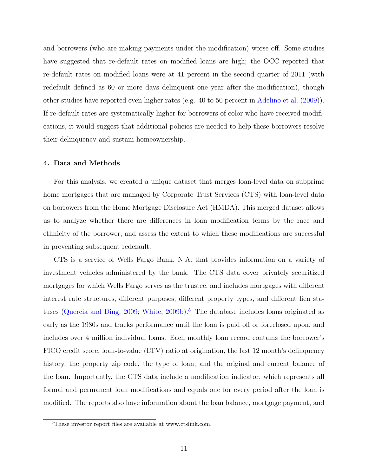and borrowers (who are making payments under the modification) worse off. Some studies have suggested that re-default rates on modified loans are high; the OCC reported that re-default rates on modified loans were at 41 percent in the second quarter of 2011 (with redefault defined as 60 or more days delinquent one year after the modification), though other studies have reported even higher rates (e.g. 40 to 50 percent in [Adelino et al.](#page-18-2) [\(2009\)](#page-18-2)). If re-default rates are systematically higher for borrowers of color who have received modifications, it would suggest that additional policies are needed to help these borrowers resolve their delinquency and sustain homeownership.

# 4. Data and Methods

For this analysis, we created a unique dataset that merges loan-level data on subprime home mortgages that are managed by Corporate Trust Services (CTS) with loan-level data on borrowers from the Home Mortgage Disclosure Act (HMDA). This merged dataset allows us to analyze whether there are differences in loan modification terms by the race and ethnicity of the borrower, and assess the extent to which these modifications are successful in preventing subsequent redefault.

CTS is a service of Wells Fargo Bank, N.A. that provides information on a variety of investment vehicles administered by the bank. The CTS data cover privately securitized mortgages for which Wells Fargo serves as the trustee, and includes mortgages with different interest rate structures, different purposes, different property types, and different lien sta-tuses [\(Quercia and Ding,](#page-20-5) [2009;](#page-20-5) [White,](#page-21-1) [2009b\)](#page-21-1).<sup>[5](#page-9-0)</sup> The database includes loans originated as early as the 1980s and tracks performance until the loan is paid off or foreclosed upon, and includes over 4 million individual loans. Each monthly loan record contains the borrower's FICO credit score, loan-to-value (LTV) ratio at origination, the last 12 month's delinquency history, the property zip code, the type of loan, and the original and current balance of the loan. Importantly, the CTS data include a modification indicator, which represents all formal and permanent loan modifications and equals one for every period after the loan is modified. The reports also have information about the loan balance, mortgage payment, and

<span id="page-9-0"></span><sup>5</sup>These investor report files are available at www.ctslink.com.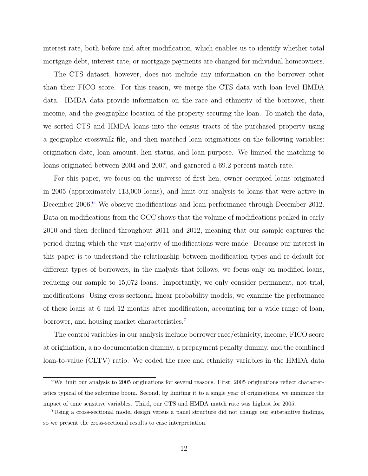interest rate, both before and after modification, which enables us to identify whether total mortgage debt, interest rate, or mortgage payments are changed for individual homeowners.

The CTS dataset, however, does not include any information on the borrower other than their FICO score. For this reason, we merge the CTS data with loan level HMDA data. HMDA data provide information on the race and ethnicity of the borrower, their income, and the geographic location of the property securing the loan. To match the data, we sorted CTS and HMDA loans into the census tracts of the purchased property using a geographic crosswalk file, and then matched loan originations on the following variables: origination date, loan amount, lien status, and loan purpose. We limited the matching to loans originated between 2004 and 2007, and garnered a 69.2 percent match rate.

For this paper, we focus on the universe of first lien, owner occupied loans originated in 2005 (approximately 113,000 loans), and limit our analysis to loans that were active in December 200[6](#page-10-0).<sup>6</sup> We observe modifications and loan performance through December 2012. Data on modifications from the OCC shows that the volume of modifications peaked in early 2010 and then declined throughout 2011 and 2012, meaning that our sample captures the period during which the vast majority of modifications were made. Because our interest in this paper is to understand the relationship between modification types and re-default for different types of borrowers, in the analysis that follows, we focus only on modified loans, reducing our sample to 15,072 loans. Importantly, we only consider permanent, not trial, modifications. Using cross sectional linear probability models, we examine the performance of these loans at 6 and 12 months after modification, accounting for a wide range of loan, borrower, and housing market characteristics.[7](#page-10-1)

The control variables in our analysis include borrower race/ethnicity, income, FICO score at origination, a no documentation dummy, a prepayment penalty dummy, and the combined loan-to-value (CLTV) ratio. We coded the race and ethnicity variables in the HMDA data

<span id="page-10-0"></span><sup>6</sup>We limit our analysis to 2005 originations for several reasons. First, 2005 originations reflect characteristics typical of the subprime boom. Second, by limiting it to a single year of originations, we minimize the impact of time sensitive variables. Third, our CTS and HMDA match rate was highest for 2005.

<span id="page-10-1"></span><sup>7</sup>Using a cross-sectional model design versus a panel structure did not change our substantive findings, so we present the cross-sectional results to ease interpretation.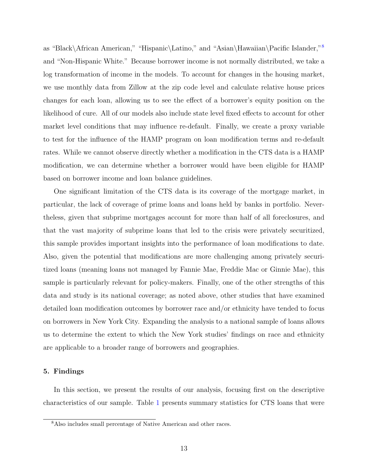as "Black\African American," "Hispanic\Latino," and "Asian\Hawaiian\Pacific Islander,"[8](#page-11-0) and "Non-Hispanic White." Because borrower income is not normally distributed, we take a log transformation of income in the models. To account for changes in the housing market, we use monthly data from Zillow at the zip code level and calculate relative house prices changes for each loan, allowing us to see the effect of a borrower's equity position on the likelihood of cure. All of our models also include state level fixed effects to account for other market level conditions that may influence re-default. Finally, we create a proxy variable to test for the influence of the HAMP program on loan modification terms and re-default rates. While we cannot observe directly whether a modification in the CTS data is a HAMP modification, we can determine whether a borrower would have been eligible for HAMP based on borrower income and loan balance guidelines.

One significant limitation of the CTS data is its coverage of the mortgage market, in particular, the lack of coverage of prime loans and loans held by banks in portfolio. Nevertheless, given that subprime mortgages account for more than half of all foreclosures, and that the vast majority of subprime loans that led to the crisis were privately securitized, this sample provides important insights into the performance of loan modifications to date. Also, given the potential that modifications are more challenging among privately securitized loans (meaning loans not managed by Fannie Mae, Freddie Mac or Ginnie Mae), this sample is particularly relevant for policy-makers. Finally, one of the other strengths of this data and study is its national coverage; as noted above, other studies that have examined detailed loan modification outcomes by borrower race and/or ethnicity have tended to focus on borrowers in New York City. Expanding the analysis to a national sample of loans allows us to determine the extent to which the New York studies' findings on race and ethnicity are applicable to a broader range of borrowers and geographies.

# 5. Findings

In this section, we present the results of our analysis, focusing first on the descriptive characteristics of our sample. Table [1](#page-22-0) presents summary statistics for CTS loans that were

<span id="page-11-0"></span><sup>8</sup>Also includes small percentage of Native American and other races.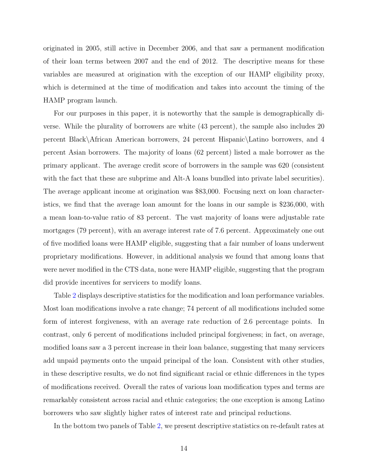originated in 2005, still active in December 2006, and that saw a permanent modification of their loan terms between 2007 and the end of 2012. The descriptive means for these variables are measured at origination with the exception of our HAMP eligibility proxy, which is determined at the time of modification and takes into account the timing of the HAMP program launch.

For our purposes in this paper, it is noteworthy that the sample is demographically diverse. While the plurality of borrowers are white (43 percent), the sample also includes 20 percent Black\African American borrowers, 24 percent Hispanic\Latino borrowers, and 4 percent Asian borrowers. The majority of loans (62 percent) listed a male borrower as the primary applicant. The average credit score of borrowers in the sample was 620 (consistent with the fact that these are subprime and Alt-A loans bundled into private label securities). The average applicant income at origination was \$83,000. Focusing next on loan characteristics, we find that the average loan amount for the loans in our sample is \$236,000, with a mean loan-to-value ratio of 83 percent. The vast majority of loans were adjustable rate mortgages (79 percent), with an average interest rate of 7.6 percent. Approximately one out of five modified loans were HAMP eligible, suggesting that a fair number of loans underwent proprietary modifications. However, in additional analysis we found that among loans that were never modified in the CTS data, none were HAMP eligible, suggesting that the program did provide incentives for servicers to modify loans.

Table [2](#page-23-0) displays descriptive statistics for the modification and loan performance variables. Most loan modifications involve a rate change; 74 percent of all modifications included some form of interest forgiveness, with an average rate reduction of 2.6 percentage points. In contrast, only 6 percent of modifications included principal forgiveness; in fact, on average, modified loans saw a 3 percent increase in their loan balance, suggesting that many servicers add unpaid payments onto the unpaid principal of the loan. Consistent with other studies, in these descriptive results, we do not find significant racial or ethnic differences in the types of modifications received. Overall the rates of various loan modification types and terms are remarkably consistent across racial and ethnic categories; the one exception is among Latino borrowers who saw slightly higher rates of interest rate and principal reductions.

In the bottom two panels of Table [2,](#page-23-0) we present descriptive statistics on re-default rates at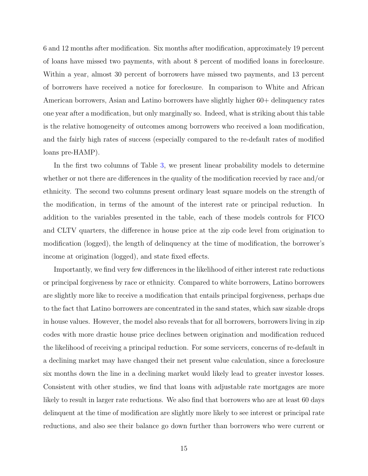6 and 12 months after modification. Six months after modification, approximately 19 percent of loans have missed two payments, with about 8 percent of modified loans in foreclosure. Within a year, almost 30 percent of borrowers have missed two payments, and 13 percent of borrowers have received a notice for foreclosure. In comparison to White and African American borrowers, Asian and Latino borrowers have slightly higher 60+ delinquency rates one year after a modification, but only marginally so. Indeed, what is striking about this table is the relative homogeneity of outcomes among borrowers who received a loan modification, and the fairly high rates of success (especially compared to the re-default rates of modified loans pre-HAMP).

In the first two columns of Table [3,](#page-24-0) we present linear probability models to determine whether or not there are differences in the quality of the modification recevied by race and/or ethnicity. The second two columns present ordinary least square models on the strength of the modification, in terms of the amount of the interest rate or principal reduction. In addition to the variables presented in the table, each of these models controls for FICO and CLTV quarters, the difference in house price at the zip code level from origination to modification (logged), the length of delinquency at the time of modification, the borrower's income at origination (logged), and state fixed effects.

Importantly, we find very few differences in the likelihood of either interest rate reductions or principal forgiveness by race or ethnicity. Compared to white borrowers, Latino borrowers are slightly more like to receive a modification that entails principal forgiveness, perhaps due to the fact that Latino borrowers are concentrated in the sand states, which saw sizable drops in house values. However, the model also reveals that for all borrowers, borrowers living in zip codes with more drastic house price declines between origination and modification reduced the likelihood of receiving a principal reduction. For some servicers, concerns of re-default in a declining market may have changed their net present value calculation, since a foreclosure six months down the line in a declining market would likely lead to greater investor losses. Consistent with other studies, we find that loans with adjustable rate mortgages are more likely to result in larger rate reductions. We also find that borrowers who are at least 60 days delinquent at the time of modification are slightly more likely to see interest or principal rate reductions, and also see their balance go down further than borrowers who were current or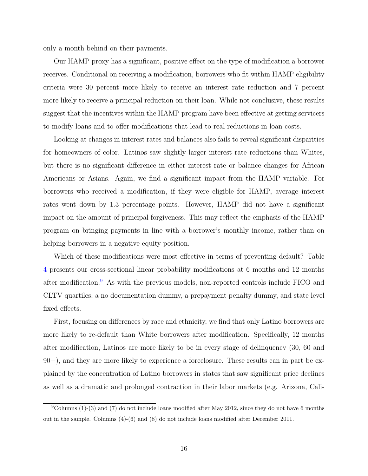only a month behind on their payments.

Our HAMP proxy has a significant, positive effect on the type of modification a borrower receives. Conditional on receiving a modification, borrowers who fit within HAMP eligibility criteria were 30 percent more likely to receive an interest rate reduction and 7 percent more likely to receive a principal reduction on their loan. While not conclusive, these results suggest that the incentives within the HAMP program have been effective at getting servicers to modify loans and to offer modifications that lead to real reductions in loan costs.

Looking at changes in interest rates and balances also fails to reveal significant disparities for homeowners of color. Latinos saw slightly larger interest rate reductions than Whites, but there is no significant difference in either interest rate or balance changes for African Americans or Asians. Again, we find a significant impact from the HAMP variable. For borrowers who received a modification, if they were eligible for HAMP, average interest rates went down by 1.3 percentage points. However, HAMP did not have a significant impact on the amount of principal forgiveness. This may reflect the emphasis of the HAMP program on bringing payments in line with a borrower's monthly income, rather than on helping borrowers in a negative equity position.

Which of these modifications were most effective in terms of preventing default? Table [4](#page-25-0) presents our cross-sectional linear probability modifications at 6 months and 12 months after modification.[9](#page-14-0) As with the previous models, non-reported controls include FICO and CLTV quartiles, a no documentation dummy, a prepayment penalty dummy, and state level fixed effects.

First, focusing on differences by race and ethnicity, we find that only Latino borrowers are more likely to re-default than White borrowers after modification. Specifically, 12 months after modification, Latinos are more likely to be in every stage of delinquency (30, 60 and 90+), and they are more likely to experience a foreclosure. These results can in part be explained by the concentration of Latino borrowers in states that saw significant price declines as well as a dramatic and prolonged contraction in their labor markets (e.g. Arizona, Cali-

<span id="page-14-0"></span> $9^9$ Columns (1)-(3) and (7) do not include loans modified after May 2012, since they do not have 6 months out in the sample. Columns (4)-(6) and (8) do not include loans modified after December 2011.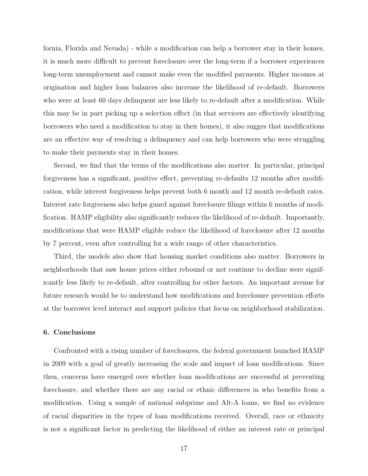fornia, Florida and Nevada) - while a modification can help a borrower stay in their homes, it is much more difficult to prevent foreclosure over the long-term if a borrower experiences long-term unemployment and cannot make even the modified payments. Higher incomes at origination and higher loan balances also increase the likelihood of re-default. Borrowers who were at least 60 days delinquent are less likely to re-default after a modification. While this may be in part picking up a selection effect (in that servicers are effectively identifying borrowers who need a modification to stay in their homes), it also sugges that modifications are an effective way of resolving a delinquency and can help borrowers who were struggling to make their payments stay in their homes.

Second, we find that the terms of the modifications also matter. In particular, principal forgiveness has a significant, positive effect, preventing re-defaults 12 months after modification, while interest forgiveness helps prevent both 6 month and 12 month re-default rates. Interest rate forgiveness also helps guard against foreclosure filings within 6 months of modification. HAMP eligibility also significantly reduces the likelihood of re-default. Importantly, modifications that were HAMP eligible reduce the likelihood of foreclosure after 12 months by 7 percent, even after controlling for a wide range of other characteristics.

Third, the models also show that housing market conditions also matter. Borrowers in neighborhoods that saw house prices either rebound or not continue to decline were significantly less likely to re-default, after controlling for other factors. An important avenue for future research would be to understand how modifications and foreclosure prevention efforts at the borrower level interact and support policies that focus on neighborhood stabilization.

#### 6. Conclusions

Confronted with a rising number of foreclosures, the federal government launched HAMP in 2009 with a goal of greatly increasing the scale and impact of loan modifications. Since then, concerns have emerged over whether loan modifications are successful at preventing foreclosure, and whether there are any racial or ethnic differences in who benefits from a modification. Using a sample of national subprime and Alt-A loans, we find no evidence of racial disparities in the types of loan modifications received. Overall, race or ethnicity is not a significant factor in predicting the likelihood of either an interest rate or principal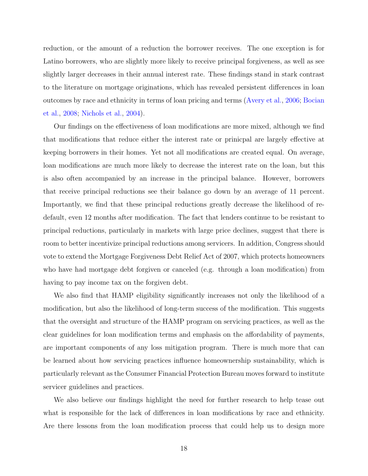reduction, or the amount of a reduction the borrower receives. The one exception is for Latino borrowers, who are slightly more likely to receive principal forgiveness, as well as see slightly larger decreases in their annual interest rate. These findings stand in stark contrast to the literature on mortgage originations, which has revealed persistent differences in loan outcomes by race and ethnicity in terms of loan pricing and terms [\(Avery et al.,](#page-18-7) [2006;](#page-18-7) [Bocian](#page-18-8) [et al.,](#page-18-8) [2008;](#page-18-8) [Nichols et al.,](#page-20-7) [2004\)](#page-20-7).

Our findings on the effectiveness of loan modifications are more mixed, although we find that modifications that reduce either the interest rate or prinicpal are largely effective at keeping borrowers in their homes. Yet not all modifications are created equal. On average, loan modifications are much more likely to decrease the interest rate on the loan, but this is also often accompanied by an increase in the principal balance. However, borrowers that receive principal reductions see their balance go down by an average of 11 percent. Importantly, we find that these principal reductions greatly decrease the likelihood of redefault, even 12 months after modification. The fact that lenders continue to be resistant to principal reductions, particularly in markets with large price declines, suggest that there is room to better incentivize principal reductions among servicers. In addition, Congress should vote to extend the Mortgage Forgiveness Debt Relief Act of 2007, which protects homeowners who have had mortgage debt forgiven or canceled (e.g. through a loan modification) from having to pay income tax on the forgiven debt.

We also find that HAMP eligibility significantly increases not only the likelihood of a modification, but also the likelihood of long-term success of the modification. This suggests that the oversight and structure of the HAMP program on servicing practices, as well as the clear guidelines for loan modification terms and emphasis on the affordability of payments, are important components of any loss mitigation program. There is much more that can be learned about how servicing practices influence homeownership sustainability, which is particularly relevant as the Consumer Financial Protection Bureau moves forward to institute servicer guidelines and practices.

We also believe our findings highlight the need for further research to help tease out what is responsible for the lack of differences in loan modifications by race and ethnicity. Are there lessons from the loan modification process that could help us to design more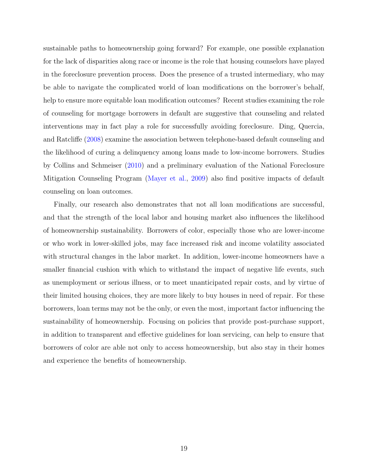sustainable paths to homeownership going forward? For example, one possible explanation for the lack of disparities along race or income is the role that housing counselors have played in the foreclosure prevention process. Does the presence of a trusted intermediary, who may be able to navigate the complicated world of loan modifications on the borrower's behalf, help to ensure more equitable loan modification outcomes? Recent studies examining the role of counseling for mortgage borrowers in default are suggestive that counseling and related interventions may in fact play a role for successfully avoiding foreclosure. Ding, Quercia, and Ratcliffe [\(2008\)](#page-19-8) examine the association between telephone-based default counseling and the likelihood of curing a delinquency among loans made to low-income borrowers. Studies by Collins and Schmeiser [\(2010\)](#page-18-9) and a preliminary evaluation of the National Foreclosure Mitigation Counseling Program [\(Mayer et al.,](#page-20-8) [2009\)](#page-20-8) also find positive impacts of default counseling on loan outcomes.

Finally, our research also demonstrates that not all loan modifications are successful, and that the strength of the local labor and housing market also influences the likelihood of homeownership sustainability. Borrowers of color, especially those who are lower-income or who work in lower-skilled jobs, may face increased risk and income volatility associated with structural changes in the labor market. In addition, lower-income homeowners have a smaller financial cushion with which to withstand the impact of negative life events, such as unemployment or serious illness, or to meet unanticipated repair costs, and by virtue of their limited housing choices, they are more likely to buy houses in need of repair. For these borrowers, loan terms may not be the only, or even the most, important factor influencing the sustainability of homeownership. Focusing on policies that provide post-purchase support, in addition to transparent and effective guidelines for loan servicing, can help to ensure that borrowers of color are able not only to access homeownership, but also stay in their homes and experience the benefits of homeownership.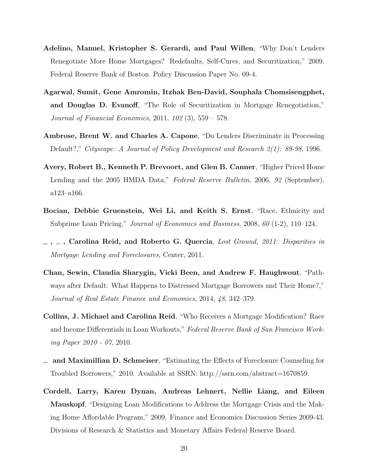- <span id="page-18-2"></span>Adelino, Manuel, Kristopher S. Gerardi, and Paul Willen, "Why Don't Lenders Renegotiate More Home Mortgages? Redefaults, Self-Cures, and Securitization," 2009. Federal Reserve Bank of Boston. Policy Discussion Paper No. 09-4.
- <span id="page-18-3"></span>Agarwal, Sumit, Gene Amromin, Itzhak Ben-David, Souphala Chomsisengphet, and Douglas D. Evanoff, "The Role of Securitization in Mortgage Renegotiation," Journal of Financial Economics, 2011, 102 (3), 559 – 578.
- <span id="page-18-5"></span>Ambrose, Brent W. and Charles A. Capone, "Do Lenders Discriminate in Processing Default?," Cityscape: A Journal of Policy Development and Research 2(1): 89-98, 1996.
- <span id="page-18-7"></span>Avery, Robert B., Kenneth P. Brevoort, and Glen B. Canner, "Higher Priced Home Lending and the 2005 HMDA Data," Federal Reserve Bulletin, 2006, 92 (September), a123–a166.
- <span id="page-18-8"></span>Bocian, Debbie Gruenstein, Wei Li, and Keith S. Ernst, "Race, Ethnicity and Subprime Loan Pricing," Journal of Economics and Business, 2008, 60 (1-2), 110–124.
- <span id="page-18-1"></span> $\alpha$ ,  $\alpha$ , Carolina Reid, and Roberto G. Quercia, Lost Ground, 2011: Disparities in Mortgage Lending and Foreclosures, Center, 2011.
- <span id="page-18-6"></span>Chan, Sewin, Claudia Sharygin, Vicki Been, and Andrew F. Haughwout, "Pathways after Default: What Happens to Distressed Mortgage Borrowers and Their Home?," Journal of Real Estate Finance and Economics, 2014, 48, 342–379.
- <span id="page-18-0"></span>Collins, J. Michael and Carolina Reid, "Who Receives a Mortgage Modification? Race and Income Differentials in Loan Workouts," Federal Reserve Bank of San Francisco Working Paper 2010 - 07, 2010.
- <span id="page-18-9"></span>and Maximillian D. Schmeiser, "Estimating the Effects of Foreclosure Counseling for Troubled Borrowers," 2010. Available at SSRN: http://ssrn.com/abstract=1670859.
- <span id="page-18-4"></span>Cordell, Larry, Karen Dynan, Andreas Lehnert, Nellie Liang, and Eileen Mauskopf, "Designing Loan Modifications to Address the Mortgage Crisis and the Making Home Affordable Program," 2009. Finance and Economics Discussion Series 2009-43. Divisions of Research & Statistics and Monetary Affairs Federal Reserve Board.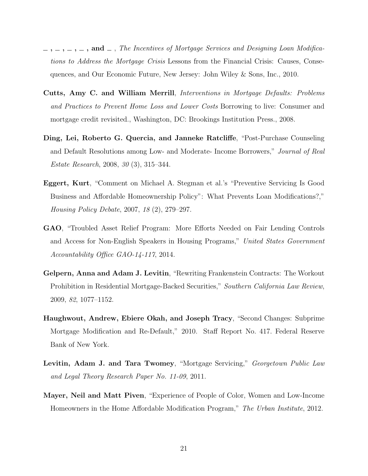- <span id="page-19-2"></span> $\lambda_1$ ,  $\lambda_2$ ,  $\lambda_3$ ,  $\lambda_4$ ,  $\lambda_5$  and  $\lambda_7$ . The Incentives of Mortgage Services and Designing Loan Modifications to Address the Mortgage Crisis Lessons from the Financial Crisis: Causes, Consequences, and Our Economic Future, New Jersey: John Wiley & Sons, Inc., 2010.
- <span id="page-19-5"></span>Cutts, Amy C. and William Merrill, Interventions in Mortgage Defaults: Problems and Practices to Prevent Home Loss and Lower Costs Borrowing to live: Consumer and mortgage credit revisited., Washington, DC: Brookings Institution Press., 2008.
- <span id="page-19-8"></span>Ding, Lei, Roberto G. Quercia, and Janneke Ratcliffe, "Post-Purchase Counseling and Default Resolutions among Low- and Moderate- Income Borrowers," Journal of Real Estate Research, 2008, 30 (3), 315–344.
- <span id="page-19-3"></span>Eggert, Kurt, "Comment on Michael A. Stegman et al.'s "Preventive Servicing Is Good Business and Affordable Homeownership Policy": What Prevents Loan Modifications?," Housing Policy Debate, 2007, 18 (2), 279–297.
- <span id="page-19-1"></span>GAO, "Troubled Asset Relief Program: More Efforts Needed on Fair Lending Controls and Access for Non-English Speakers in Housing Programs," United States Government Accountability Office GAO-14-117, 2014.
- <span id="page-19-4"></span>Gelpern, Anna and Adam J. Levitin, "Rewriting Frankenstein Contracts: The Workout Prohibition in Residential Mortgage-Backed Securities," Southern California Law Review, 2009, 82, 1077–1152.
- <span id="page-19-6"></span>Haughwout, Andrew, Ebiere Okah, and Joseph Tracy, "Second Changes: Subprime Mortgage Modification and Re-Default," 2010. Staff Report No. 417. Federal Reserve Bank of New York.
- <span id="page-19-0"></span>Levitin, Adam J. and Tara Twomey, "Mortgage Servicing," Georgetown Public Law and Legal Theory Research Paper No. 11-09, 2011.
- <span id="page-19-7"></span>Mayer, Neil and Matt Piven, "Experience of People of Color, Women and Low-Income Homeowners in the Home Affordable Modification Program," The Urban Institute, 2012.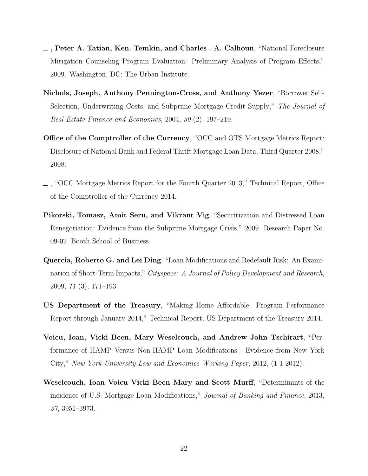- <span id="page-20-8"></span>, Peter A. Tatian, Ken. Temkin, and Charles . A. Calhoun, "National Foreclosure Mitigation Counseling Program Evaluation: Preliminary Analysis of Program Effects," 2009. Washington, DC: The Urban Institute.
- <span id="page-20-7"></span>Nichols, Joseph, Anthony Pennington-Cross, and Anthony Yezer, "Borrower Self-Selection, Underwriting Costs, and Subprime Mortgage Credit Supply," The Journal of Real Estate Finance and Economics, 2004, 30 (2), 197–219.
- <span id="page-20-4"></span>Office of the Comptroller of the Currency, "OCC and OTS Mortgage Metrics Report: Disclosure of National Bank and Federal Thrift Mortgage Loan Data, Third Quarter 2008," 2008.
- <span id="page-20-2"></span>, "OCC Mortgage Metrics Report for the Fourth Quarter 2013," Technical Report, Office of the Comptroller of the Currency 2014.
- <span id="page-20-3"></span>Pikorski, Tomasz, Amit Seru, and Vikrant Vig, "Securitization and Distressed Loan Renegotiation: Evidence from the Subprime Mortgage Crisis," 2009. Research Paper No. 09-02. Booth School of Business.
- <span id="page-20-5"></span>Quercia, Roberto G. and Lei Ding, "Loan Modifications and Redefault Risk: An Examination of Short-Term Impacts," Cityspace: A Journal of Policy Development and Research, 2009, 11 (3), 171–193.
- <span id="page-20-1"></span>US Department of the Treasury, "Making Home Affordable: Program Performance Report through January 2014," Technical Report, US Department of the Treasury 2014.
- <span id="page-20-6"></span>Voicu, Ioan, Vicki Been, Mary Weselcouch, and Andrew John Tschirart, "Performance of HAMP Versus Non-HAMP Loan Modifications - Evidence from New York City," New York University Law and Economics Working Paper, 2012, (1-1-2012).
- <span id="page-20-0"></span>Weselcouch, Ioan Voicu Vicki Been Mary and Scott Murff, "Determinants of the incidence of U.S. Mortgage Loan Modifications," Journal of Banking and Finance, 2013, 37, 3951–3973.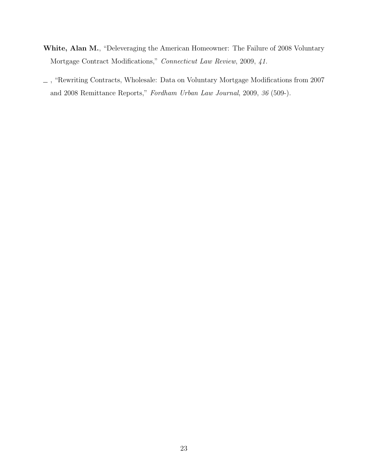- <span id="page-21-0"></span>White, Alan M., "Deleveraging the American Homeowner: The Failure of 2008 Voluntary Mortgage Contract Modifications," Connecticut Law Review, 2009, 41.
- <span id="page-21-1"></span> $\_$ , "Rewriting Contracts, Wholesale: Data on Voluntary Mortgage Modifications from 2007 and 2008 Remittance Reports," Fordham Urban Law Journal, 2009, 36 (509-).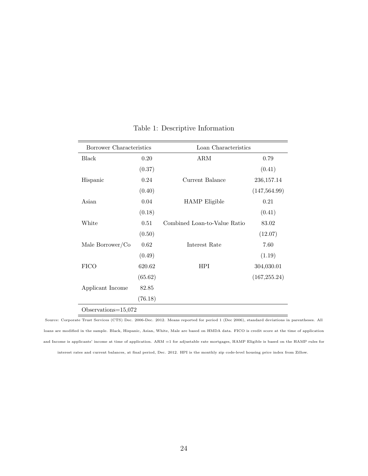<span id="page-22-0"></span>

| Borrower Characteristics |         | Loan Characteristics         |               |
|--------------------------|---------|------------------------------|---------------|
| Black                    | 0.20    | ARM                          | 0.79          |
|                          | (0.37)  |                              | (0.41)        |
| Hispanic                 | 0.24    | Current Balance              | 236, 157. 14  |
|                          | (0.40)  |                              | (147, 564.99) |
| Asian                    | 0.04    | <b>HAMP</b> Eligible         | 0.21          |
|                          | (0.18)  |                              | (0.41)        |
| White                    | 0.51    | Combined Loan-to-Value Ratio | 83.02         |
|                          | (0.50)  |                              | (12.07)       |
| Male Borrower/Co         | 0.62    | Interest Rate                | 7.60          |
|                          | (0.49)  |                              | (1.19)        |
| <b>FICO</b>              | 620.62  | <b>HPI</b>                   | 304,030.01    |
|                          | (65.62) |                              | (167, 255.24) |
| Applicant Income         | 82.85   |                              |               |
|                          | (76.18) |                              |               |
| Observations= $15,072$   |         |                              |               |

# Table 1: Descriptive Information

Source: Corporate Trust Services (CTS) Dec. 2006-Dec. 2012. Means reported for period 1 (Dec 2006), standard deviations in parentheses. All loans are modified in the sample. Black, Hispanic, Asian, White, Male are based on HMDA data. FICO is credit score at the time of application and Income is applicants' income at time of application. ARM =1 for adjustable rate mortgages, HAMP Eligible is based on the HAMP rules for interest rates and current balances, at final period, Dec. 2012. HPI is the monthly zip code-level housing price index from Zillow.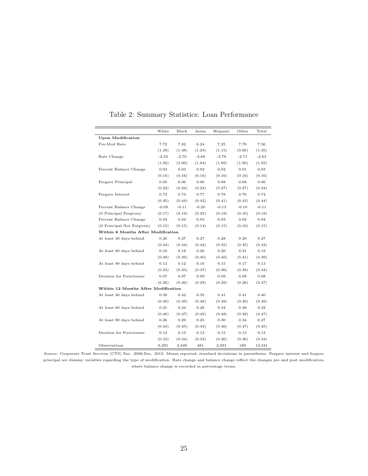<span id="page-23-0"></span>

|                                     | White   | Black   | Asian   | Hispanic | Other   | Total   |
|-------------------------------------|---------|---------|---------|----------|---------|---------|
| <b>Upon Modification</b>            |         |         |         |          |         |         |
| Pre-Mod Rate                        | 7.72    | 7.82    | 6.24    | 7.25     | 7.79    | 7.56    |
|                                     | (1.39)  | (1.38)  | (1.23)  | (1.15)   | (0.66)  | (1.35)  |
| Rate Change                         | $-2.52$ | $-2.70$ | $-2.68$ | $-2.78$  | $-2.71$ | $-2.63$ |
|                                     | (1.92)  | (2.00)  | (1.84)  | (1.89)   | (1.90)  | (1.93)  |
| Percent Balance Change              | 0.03    | 0.03    | 0.02    | 0.02     | 0.01    | 0.03    |
|                                     | (0.16)  | (0.16)  | (0.16)  | (0.16)   | (0.16)  | (0.16)  |
| Forgave Principal                   | 0.05    | 0.06    | 0.06    | 0.08     | 0.08    | 0.06    |
|                                     | (0.22)  | (0.24)  | (0.24)  | (0.27)   | (0.27)  | (0.24)  |
| Forgave Interest                    | 0.73    | 0.73    | 0.77    | 0.78     | 0.76    | 0.74    |
|                                     | (0.45)  | (0.44)  | (0.42)  | (0.41)   | (0.43)  | (0.44)  |
| Percent Balance Change              | $-0.09$ | $-0.11$ | $-0.20$ | $-0.13$  | $-0.10$ | $-0.11$ |
| (if Principal Forgiven)             | (0.17)  | (0.19)  | (0.25)  | (0.19)   | (0.16)  | (0.18)  |
| Percent Balance Change              | 0.03    | 0.04    | 0.03    | 0.03     | 0.02    | 0.04    |
| (if Principal Not Forgiven)         | (0.15)  | (0.15)  | (0.14)  | (0.15)   | (0.16)  | (0.15)  |
| Within 6 Months After Modification  |         |         |         |          |         |         |
| At least 30 days behind             | 0.26    | 0.27    | 0.27    | 0.28     | 0.29    | 0.27    |
|                                     | (0.44)  | (0.44)  | (0.44)  | (0.45)   | (0.45)  | (0.44)  |
| At least 60 days behind             | 0.18    | 0.18    | 0.20    | 0.20     | 0.21    | 0.19    |
|                                     | (0.38)  | (0.39)  | (0.40)  | (0.40)   | (0.41)  | (0.39)  |
| At least 90 days behind             | 0.12    | 0.12    | 0.16    | 0.15     | 0.17    | 0.13    |
|                                     | (0.33)  | (0.33)  | (0.37)  | (0.36)   | (0.38)  | (0.34)  |
| Decision for Foreclosure            | 0.07    | 0.07    | 0.09    | 0.09     | 0.09    | 0.08    |
|                                     | (0.26)  | (0.26)  | (0.29)  | (0.29)   | (0.28)  | (0.27)  |
| Within 12 Months After Modification |         |         |         |          |         |         |
| At least 30 days behind             | 0.39    | 0.42    | 0.35    | 0.41     | 0.41    | 0.40    |
|                                     | (0.49)  | (0.49)  | (0.48)  | (0.49)   | (0.49)  | (0.49)  |
| At least 60 days behind             | 0.31    | 0.34    | 0.28    | 0.34     | 0.38    | 0.32    |
|                                     | (0.46)  | (0.47)  | (0.45)  | (0.48)   | (0.49)  | (0.47)  |
| At least 90 days behind             | 0.26    | 0.29    | 0.25    | 0.30     | 0.34    | 0.27    |
|                                     | (0.44)  | (0.45)  | (0.43)  | (0.46)   | (0.47)  | (0.45)  |
| Decision for Foreclosure            | 0.12    | 0.13    | 0.12    | 0.15     | 0.15    | 0.13    |
|                                     | (0.33)  | (0.34)  | (0.33)  | (0.36)   | (0.36)  | (0.34)  |
| Observations                        | 6,291   | 2,449   | 481     | 2,931    | 189     | 12,341  |

Table 2: Summary Statistics: Loan Performance

Source: Corporate Trust Services (CTS) Dec. 2006-Dec. 2012. Means reported, standard deviations in parentheses. Forgave interest and forgave principal are dummy variables regarding the type of modification. Rate change and balance change reflect the changes pre and post modification, where balance change is recorded in percentage terms.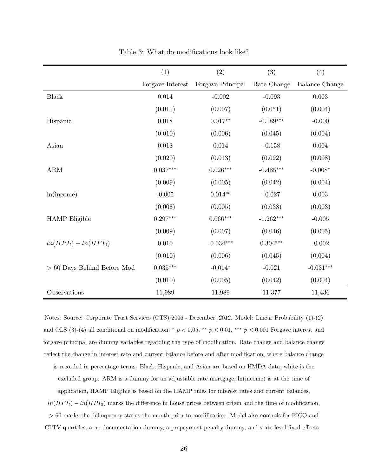<span id="page-24-0"></span>

|                               | (1)              | (2)                    | (3)         | (4)                   |
|-------------------------------|------------------|------------------------|-------------|-----------------------|
|                               | Forgave Interest | Forgave Principal      | Rate Change | <b>Balance Change</b> |
| <b>Black</b>                  | 0.014            | $-0.002$               | $-0.093$    | 0.003                 |
|                               | (0.011)          | (0.007)                | (0.051)     | (0.004)               |
| Hispanic                      | 0.018            | $0.017**$              | $-0.189***$ | $-0.000$              |
|                               | (0.010)          | (0.006)                | (0.045)     | (0.004)               |
| Asian                         | $0.013\,$        | $0.014\,$              | $-0.158$    | 0.004                 |
|                               | (0.020)          | (0.013)                | (0.092)     | (0.008)               |
| $\mathbf{ARM}$                | $0.037***$       | $0.026^{\ast\ast\ast}$ | $-0.485***$ | $-0.008*$             |
|                               | (0.009)          | (0.005)                | (0.042)     | (0.004)               |
| ln(income)                    | $-0.005$         | $0.014**$              | $-0.027$    | 0.003                 |
|                               | (0.008)          | (0.005)                | (0.038)     | (0.003)               |
| <b>HAMP</b> Eligible          | $0.297***$       | $0.066***$             | $-1.262***$ | $-0.005$              |
|                               | (0.009)          | (0.007)                | (0.046)     | (0.005)               |
| $ln(HPI_t) - ln(HPI_0)$       | 0.010            | $-0.034***$            | $0.304***$  | $-0.002$              |
|                               | (0.010)          | (0.006)                | (0.045)     | (0.004)               |
| $> 60$ Days Behind Before Mod | $0.035^{***}\,$  | $-0.014*$              | $-0.021$    | $-0.031***$           |
|                               | (0.010)          | (0.005)                | (0.042)     | (0.004)               |
| Observations                  | 11,989           | 11,989                 | 11,377      | 11,436                |

Table 3: What do modifications look like?

Notes: Source: Corporate Trust Services (CTS) 2006 - December, 2012. Model: Linear Probability (1)-(2) and OLS (3)-(4) all conditional on modification;  $*$   $p < 0.05$ ,  $**$   $p < 0.01$ ,  $***$   $p < 0.001$  Forgave interest and forgave principal are dummy variables regarding the type of modification. Rate change and balance change reflect the change in interest rate and current balance before and after modification, where balance change is recorded in percentage terms. Black, Hispanic, and Asian are based on HMDA data, white is the excluded group. ARM is a dummy for an adjustable rate mortgage, ln(income) is at the time of application, HAMP Eligible is based on the HAMP rules for interest rates and current balances,  $ln(HPI_t) - ln(HPI_0)$  marks the difference in house prices between origin and the time of modification, > 60 marks the delinquency status the month prior to modification. Model also controls for FICO and CLTV quartiles, a no documentation dummy, a prepayment penalty dummy, and state-level fixed effects.